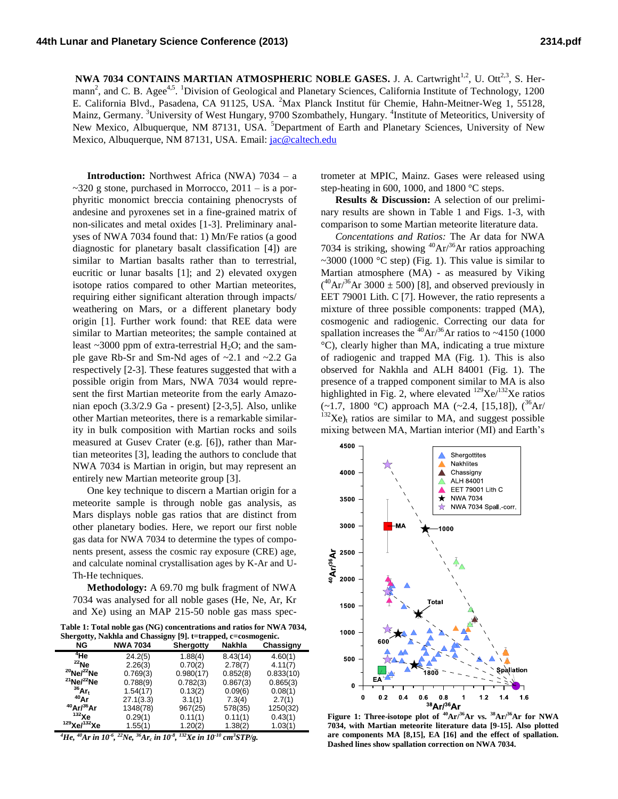**NWA 7034 CONTAINS MARTIAN ATMOSPHERIC NOBLE GASES.** J. A. Cartwright<sup>1,2</sup>, U. Ott<sup>2,3</sup>, S. Hermann<sup>2</sup>, and C. B. Agee<sup>4,5</sup>. <sup>1</sup>Division of Geological and Planetary Sciences, California Institute of Technology, 1200 E. California Blvd., Pasadena, CA 91125, USA. <sup>2</sup>Max Planck Institut für Chemie, Hahn-Meitner-Weg 1, 55128, Mainz, Germany. <sup>3</sup>University of West Hungary, 9700 Szombathely, Hungary. <sup>4</sup>Institute of Meteoritics, University of New Mexico, Albuquerque, NM 87131, USA. <sup>5</sup>Department of Earth and Planetary Sciences, University of New Mexico, Albuquerque, NM 87131, USA. Email: [jac@caltech.edu](mailto:jac@caltech.edu) 

**Introduction:** Northwest Africa (NWA) 7034 – a  $\sim$ 320 g stone, purchased in Morrocco, 2011 – is a porphyritic monomict breccia containing phenocrysts of andesine and pyroxenes set in a fine-grained matrix of non-silicates and metal oxides [1-3]. Preliminary analyses of NWA 7034 found that: 1) Mn/Fe ratios (a good diagnostic for planetary basalt classification [4]) are similar to Martian basalts rather than to terrestrial, eucritic or lunar basalts [1]; and 2) elevated oxygen isotope ratios compared to other Martian meteorites, requiring either significant alteration through impacts/ weathering on Mars, or a different planetary body origin [1]. Further work found: that REE data were similar to Martian meteorites; the sample contained at least  $\sim$ 3000 ppm of extra-terrestrial H<sub>2</sub>O; and the sample gave Rb-Sr and Sm-Nd ages of ~2.1 and ~2.2 Ga respectively [2-3]. These features suggested that with a possible origin from Mars, NWA 7034 would represent the first Martian meteorite from the early Amazonian epoch (3.3/2.9 Ga - present) [2-3,5]. Also, unlike other Martian meteorites, there is a remarkable similarity in bulk composition with Martian rocks and soils measured at Gusev Crater (e.g. [6]), rather than Martian meteorites [3], leading the authors to conclude that NWA 7034 is Martian in origin, but may represent an entirely new Martian meteorite group [3].

One key technique to discern a Martian origin for a meteorite sample is through noble gas analysis, as Mars displays noble gas ratios that are distinct from other planetary bodies. Here, we report our first noble gas data for NWA 7034 to determine the types of components present, assess the cosmic ray exposure (CRE) age, and calculate nominal crystallisation ages by K-Ar and U-Th-He techniques.

**Methodology:** A 69.70 mg bulk fragment of NWA 7034 was analysed for all noble gases (He, Ne, Ar, Kr and Xe) using an MAP 215-50 noble gas mass spec-

**Table 1: Total noble gas (NG) concentrations and ratios for NWA 7034, Shergotty, Nakhla and Chassigny [9]. t=trapped, c=cosmogenic.**

| NG                     | <b>NWA 7034</b> | <b>Shergotty</b> | <b>Nakhla</b> | Chassigny |
|------------------------|-----------------|------------------|---------------|-----------|
| <sup>4</sup> He        | 24.2(5)         | 1.88(4)          | 8.43(14)      | 4.60(1)   |
| $^{22}$ Ne             | 2.26(3)         | 0.70(2)          | 2.78(7)       | 4.11(7)   |
| $^{20}$ Ne/ $^{22}$ Ne | 0.769(3)        | 0.980(17)        | 0.852(8)      | 0.833(10) |
| $^{21}$ Ne/ $^{22}$ Ne | 0.788(9)        | 0.782(3)         | 0.867(3)      | 0.865(3)  |
| $36$ Ar <sub>t</sub>   | 1.54(17)        | 0.13(2)          | 0.09(6)       | 0.08(1)   |
| $^{40}$ Ar             | 27.1(3.3)       | 3.1(1)           | 7.3(4)        | 2.7(1)    |
| $^{40}$ Ar/ $^{36}$ Ar | 1348(78)        | 967(25)          | 578(35)       | 1250(32)  |
| $132$ Xe               | 0.29(1)         | 0.11(1)          | 0.11(1)       | 0.43(1)   |
| $129$ Xe/ $132$ Xe     | 1.55(1)         | 1.20(2)          | 1.38(2)       | 1.03(1)   |

*<sup>4</sup>He, <sup>40</sup>Ar in 10-6 , <sup>22</sup>Ne, <sup>36</sup>Ar<sup>c</sup> in 10-8 , <sup>132</sup>Xe in 10-10 cm<sup>3</sup> STP/g.* 

trometer at MPIC, Mainz. Gases were released using step-heating in 600, 1000, and 1800 °C steps.

**Results & Discussion:** A selection of our preliminary results are shown in Table 1 and Figs. 1-3, with comparison to some Martian meteorite literature data.

*Concentations and Ratios:* The Ar data for NWA 7034 is striking, showing  ${}^{40}Ar/{}^{36}Ar$  ratios approaching ~3000 (1000 °C step) (Fig. 1). This value is similar to Martian atmosphere (MA) - as measured by Viking  $({}^{40}\text{Ar}^{36}\text{Ar } 3000 \pm 500)$  [8], and observed previously in EET 79001 Lith. C [7]. However, the ratio represents a mixture of three possible components: trapped (MA), cosmogenic and radiogenic. Correcting our data for spallation increases the  $40$ Ar/ $36$ Ar ratios to ~4150 (1000) °C), clearly higher than MA, indicating a true mixture of radiogenic and trapped MA (Fig. 1). This is also observed for Nakhla and ALH 84001 (Fig. 1). The presence of a trapped component similar to MA is also highlighted in Fig. 2, where elevated  $129$ Xe $/132$ Xe ratios  $(-1.7, 1800 \degree C)$  approach MA  $(-2.4, [15,18])$ ,  $(^{36}Ar/$  $132$ Xe)<sub>t</sub> ratios are similar to MA, and suggest possible mixing between MA, Martian interior (MI) and Earth's



**7034, with Martian meteorite literature data [9-15]. Also plotted are components MA [8,15], EA [16] and the effect of spallation. Dashed lines show spallation correction on NWA 7034.**